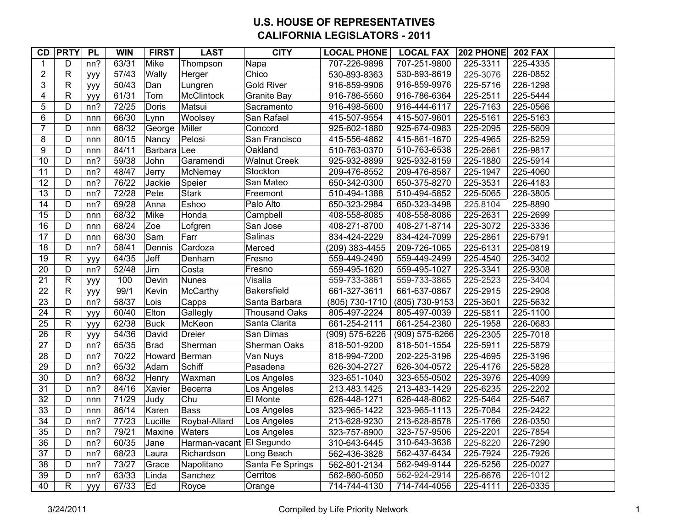## **U.S. HOUSE OF REPRESENTATIVES CALIFORNIA LEGISLATORS - 2011**

| CD                      | <b>PRTY</b>    | PL  | <b>WIN</b> | <b>FIRST</b> | <b>LAST</b>              | <b>CITY</b>          | <b>LOCAL PHONE</b> | <b>LOCAL FAX</b> | 202 PHONE | <b>202 FAX</b> |
|-------------------------|----------------|-----|------------|--------------|--------------------------|----------------------|--------------------|------------------|-----------|----------------|
| 1                       | D              | nn? | 63/31      | Mike         | Thompson                 | Napa                 | 707-226-9898       | 707-251-9800     | 225-3311  | 225-4335       |
| $\boldsymbol{2}$        | $\mathsf{R}$   | ууу | 57/43      | Wally        | Herger                   | Chico                | 530-893-8363       | 530-893-8619     | 225-3076  | 226-0852       |
| 3                       | $\overline{R}$ | ууу | 50/43      | Dan          | Lungren                  | <b>Gold River</b>    | 916-859-9906       | 916-859-9976     | 225-5716  | 226-1298       |
| $\overline{\mathbf{4}}$ | $\mathsf{R}$   | ууу | 61/31      | Tom          | <b>McClintock</b>        | <b>Granite Bay</b>   | 916-786-5560       | 916-786-6364     | 225-2511  | 225-5444       |
| $\overline{5}$          | $\overline{D}$ | nn? | 72/25      | Doris        | Matsui                   | Sacramento           | 916-498-5600       | 916-444-6117     | 225-7163  | 225-0566       |
| $\,6$                   | D              | nnn | 66/30      | Lynn         | Woolsey                  | San Rafael           | 415-507-9554       | 415-507-9601     | 225-5161  | 225-5163       |
| $\overline{7}$          | D              | nnn | 68/32      | George       | Miller                   | Concord              | 925-602-1880       | 925-674-0983     | 225-2095  | 225-5609       |
| 8                       | $\overline{D}$ | nnn | 80/15      | Nancy        | Pelosi                   | San Francisco        | 415-556-4862       | 415-861-1670     | 225-4965  | 225-8259       |
| $\overline{9}$          | $\overline{D}$ | nnn | 84/11      | Barbara Lee  |                          | Oakland              | 510-763-0370       | 510-763-6538     | 225-2661  | 225-9817       |
| 10                      | D              | nn? | 59/38      | John         | Garamendi                | <b>Walnut Creek</b>  | 925-932-8899       | 925-932-8159     | 225-1880  | 225-5914       |
| 11                      | $\overline{D}$ | nn? | 48/47      | Jerry        | McNerney                 | Stockton             | 209-476-8552       | 209-476-8587     | 225-1947  | 225-4060       |
| $\overline{12}$         | $\overline{D}$ | nn? | 76/22      | Jackie       | Speier                   | San Mateo            | 650-342-0300       | 650-375-8270     | 225-3531  | 226-4183       |
| $\overline{13}$         | D              | nn? | 72/28      | Pete         | <b>Stark</b>             | Freemont             | 510-494-1388       | 510-494-5852     | 225-5065  | 226-3805       |
| 14                      | D              | nn? | 69/28      | Anna         | Eshoo                    | Palo Alto            | 650-323-2984       | 650-323-3498     | 225.8104  | 225-8890       |
| $\overline{15}$         | D              | nnn | 68/32      | Mike         | Honda                    | Campbell             | 408-558-8085       | 408-558-8086     | 225-2631  | 225-2699       |
| 16                      | $\overline{D}$ | nnn | 68/24      | Zoe          | Lofgren                  | San Jose             | 408-271-8700       | 408-271-8714     | 225-3072  | 225-3336       |
| $\overline{17}$         | D              | nnn | 68/30      | Sam          | Farr                     | Salinas              | 834-424-2229       | 834-424-7099     | 225-2861  | 225-6791       |
| $\overline{18}$         | $\overline{D}$ | nn? | 58/41      | Dennis       | Cardoza                  | Merced               | (209) 383-4455     | 209-726-1065     | 225-6131  | 225-0819       |
| 19                      | ${\sf R}$      | ууу | 64/35      | Jeff         | Denham                   | Fresno               | 559-449-2490       | 559-449-2499     | 225-4540  | 225-3402       |
| $\overline{20}$         | $\overline{D}$ | nn? | 52/48      | Jim          | Costa                    | Fresno               | 559-495-1620       | 559-495-1027     | 225-3341  | 225-9308       |
| $\overline{21}$         | $\mathsf{R}$   | ууу | 100        | Devin        | <b>Nunes</b>             | Visalia              | 559-733-3861       | 559-733-3865     | 225-2523  | 225-3404       |
| $\overline{22}$         | $\overline{R}$ | ууу | 99/1       | Kevin        | McCarthy                 | Bakersfield          | 661-327-3611       | 661-637-0867     | 225-2915  | 225-2908       |
| 23                      | $\overline{D}$ | nn? | 58/37      | Lois         | Capps                    | Santa Barbara        | (805) 730-1710     | (805) 730-9153   | 225-3601  | 225-5632       |
| 24                      | $\mathsf{R}$   | ууу | 60/40      | Elton        | Gallegly                 | <b>Thousand Oaks</b> | 805-497-2224       | 805-497-0039     | 225-5811  | 225-1100       |
| $\overline{25}$         | $\overline{R}$ | ууу | 62/38      | <b>Buck</b>  | McKeon                   | Santa Clarita        | 661-254-2111       | 661-254-2380     | 225-1958  | 226-0683       |
| $\overline{26}$         | $\overline{R}$ | ууу | 54/36      | David        | <b>Dreier</b>            | San Dimas            | (909) 575-6226     | (909) 575-6266   | 225-2305  | 225-7018       |
| $\overline{27}$         | $\overline{D}$ | nn? | 65/35      | <b>Brad</b>  | Sherman                  | Sherman Oaks         | 818-501-9200       | 818-501-1554     | 225-5911  | 225-5879       |
| 28                      | D              | nn? | 70/22      |              | Howard Berman            | Van Nuys             | 818-994-7200       | 202-225-3196     | 225-4695  | 225-3196       |
| $\overline{29}$         | D              | nn? | 65/32      | Adam         | Schiff                   | Pasadena             | 626-304-2727       | 626-304-0572     | 225-4176  | 225-5828       |
| 30                      | $\overline{D}$ | nn? | 68/32      | Henry        | Waxman                   | Los Angeles          | 323-651-1040       | 323-655-0502     | 225-3976  | 225-4099       |
| $\overline{31}$         | $\overline{D}$ | nn? | 84/16      | Xavier       | Becerra                  | Los Angeles          | 213.483.1425       | 213-483-1429     | 225-6235  | 225-2202       |
| 32                      | $\overline{D}$ | nnn | 71/29      | Judy         | Chu                      | El Monte             | 626-448-1271       | 626-448-8062     | 225-5464  | 225-5467       |
| 33                      | D              | nnn | 86/14      | Karen        | <b>Bass</b>              | Los Angeles          | 323-965-1422       | 323-965-1113     | 225-7084  | 225-2422       |
| $\overline{34}$         | $\overline{D}$ | nn? | 77/23      | Lucille      | Roybal-Allard            | Los Angeles          | 213-628-9230       | 213-628-8578     | 225-1766  | 226-0350       |
| 35                      | D              | nn? | 79/21      | Maxine       | <b>Waters</b>            | Los Angeles          | 323-757-8900       | 323-757-9506     | 225-2201  | 225-7854       |
| 36                      | $\overline{D}$ | nn? | 60/35      | Jane         | Harman-vacant El Segundo |                      | 310-643-6445       | 310-643-3636     | 225-8220  | 226-7290       |
| $\overline{37}$         | D              | nn? | 68/23      | Laura        | Richardson               | Long Beach           | 562-436-3828       | 562-437-6434     | 225-7924  | 225-7926       |
| 38                      | D              | nn? | 73/27      | Grace        | Napolitano               | Santa Fe Springs     | 562-801-2134       | 562-949-9144     | 225-5256  | 225-0027       |
| 39                      | $\overline{D}$ | nn? | 63/33      | Linda        | Sanchez                  | Cerritos             | 562-860-5050       | 562-924-2914     | 225-6676  | 226-1012       |
| 40                      | $\mathsf R$    | ууу | 67/33      | Ed           | Royce                    | Orange               | 714-744-4130       | 714-744-4056     | 225-4111  | 226-0335       |